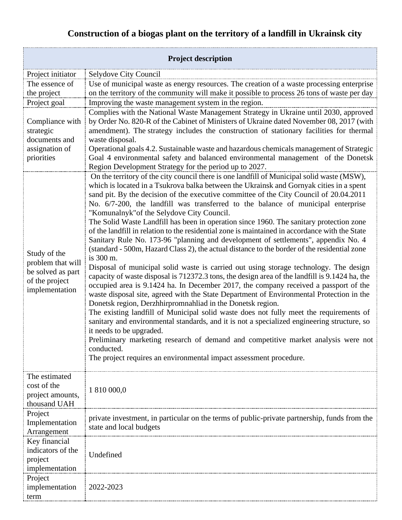| Construction of a biogas plant on the territory of a landfill in Ukrainsk city |  |
|--------------------------------------------------------------------------------|--|
|--------------------------------------------------------------------------------|--|

| <b>Project description</b>                                                                 |                                                                                                                                                                                                                                                                                                                                                                                                                                                                                                                                                                                                                                                                                                                                                                                                                                                                                                                                                                                                                                                                                                                                                                                                                                                                                                                                                                                                                                                                                                                                                                                                                                                              |  |
|--------------------------------------------------------------------------------------------|--------------------------------------------------------------------------------------------------------------------------------------------------------------------------------------------------------------------------------------------------------------------------------------------------------------------------------------------------------------------------------------------------------------------------------------------------------------------------------------------------------------------------------------------------------------------------------------------------------------------------------------------------------------------------------------------------------------------------------------------------------------------------------------------------------------------------------------------------------------------------------------------------------------------------------------------------------------------------------------------------------------------------------------------------------------------------------------------------------------------------------------------------------------------------------------------------------------------------------------------------------------------------------------------------------------------------------------------------------------------------------------------------------------------------------------------------------------------------------------------------------------------------------------------------------------------------------------------------------------------------------------------------------------|--|
| Project initiator                                                                          | Selydove City Council                                                                                                                                                                                                                                                                                                                                                                                                                                                                                                                                                                                                                                                                                                                                                                                                                                                                                                                                                                                                                                                                                                                                                                                                                                                                                                                                                                                                                                                                                                                                                                                                                                        |  |
| The essence of<br>the project                                                              | Use of municipal waste as energy resources. The creation of a waste processing enterprise<br>on the territory of the community will make it possible to process 26 tons of waste per day                                                                                                                                                                                                                                                                                                                                                                                                                                                                                                                                                                                                                                                                                                                                                                                                                                                                                                                                                                                                                                                                                                                                                                                                                                                                                                                                                                                                                                                                     |  |
| Project goal                                                                               | Improving the waste management system in the region.                                                                                                                                                                                                                                                                                                                                                                                                                                                                                                                                                                                                                                                                                                                                                                                                                                                                                                                                                                                                                                                                                                                                                                                                                                                                                                                                                                                                                                                                                                                                                                                                         |  |
| Compliance with<br>strategic<br>documents and<br>assignation of<br>priorities              | Complies with the National Waste Management Strategy in Ukraine until 2030, approved<br>by Order No. 820-R of the Cabinet of Ministers of Ukraine dated November 08, 2017 (with<br>amendment). The strategy includes the construction of stationary facilities for thermal<br>waste disposal.<br>Operational goals 4.2. Sustainable waste and hazardous chemicals management of Strategic<br>Goal 4 environmental safety and balanced environmental management of the Donetsk<br>Region Development Strategy for the period up to 2027.                                                                                                                                                                                                                                                                                                                                                                                                                                                                                                                                                                                                                                                                                                                                                                                                                                                                                                                                                                                                                                                                                                                      |  |
| Study of the<br>problem that will<br>be solved as part<br>of the project<br>implementation | On the territory of the city council there is one landfill of Municipal solid waste (MSW),<br>which is located in a Tsukrova balka between the Ukrainsk and Gornyak cities in a spent<br>sand pit. By the decision of the executive committee of the City Council of 20.04.2011<br>No. 6/7-200, the landfill was transferred to the balance of municipal enterprise<br>"Komunalnyk" of the Selydove City Council.<br>The Solid Waste Landfill has been in operation since 1960. The sanitary protection zone<br>of the landfill in relation to the residential zone is maintained in accordance with the State<br>Sanitary Rule No. 173-96 "planning and development of settlements", appendix No. 4<br>(standard - 500m, Hazard Class 2), the actual distance to the border of the residential zone<br>is 300 m.<br>Disposal of municipal solid waste is carried out using storage technology. The design<br>capacity of waste disposal is 712372.3 tons, the design area of the landfill is 9.1424 ha, the<br>occupied area is 9.1424 ha. In December 2017, the company received a passport of the<br>waste disposal site, agreed with the State Department of Environmental Protection in the<br>Donetsk region, Derzhhirpromnahliad in the Donetsk region.<br>The existing landfill of Municipal solid waste does not fully meet the requirements of<br>sanitary and environmental standards, and it is not a specialized engineering structure, so<br>it needs to be upgraded.<br>Preliminary marketing research of demand and competitive market analysis were not<br>conducted.<br>The project requires an environmental impact assessment procedure. |  |
| The estimated<br>cost of the<br>project amounts,<br>thousand UAH                           | 1 810 000,0                                                                                                                                                                                                                                                                                                                                                                                                                                                                                                                                                                                                                                                                                                                                                                                                                                                                                                                                                                                                                                                                                                                                                                                                                                                                                                                                                                                                                                                                                                                                                                                                                                                  |  |
| Project<br>Implementation<br>Arrangement                                                   | private investment, in particular on the terms of public-private partnership, funds from the<br>state and local budgets                                                                                                                                                                                                                                                                                                                                                                                                                                                                                                                                                                                                                                                                                                                                                                                                                                                                                                                                                                                                                                                                                                                                                                                                                                                                                                                                                                                                                                                                                                                                      |  |
| Key financial<br>indicators of the<br>project<br>implementation                            | Undefined                                                                                                                                                                                                                                                                                                                                                                                                                                                                                                                                                                                                                                                                                                                                                                                                                                                                                                                                                                                                                                                                                                                                                                                                                                                                                                                                                                                                                                                                                                                                                                                                                                                    |  |
| Project<br>implementation<br>term                                                          | 2022-2023                                                                                                                                                                                                                                                                                                                                                                                                                                                                                                                                                                                                                                                                                                                                                                                                                                                                                                                                                                                                                                                                                                                                                                                                                                                                                                                                                                                                                                                                                                                                                                                                                                                    |  |